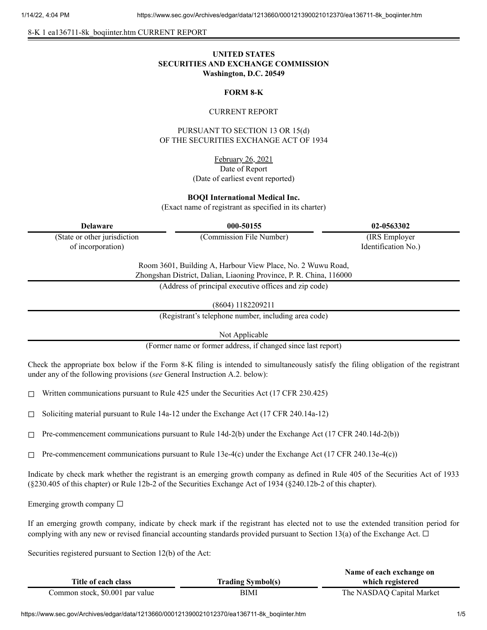8-K 1 ea136711-8k\_boqiinter.htm CURRENT REPORT

# **UNITED STATES SECURITIES AND EXCHANGE COMMISSION Washington, D.C. 20549**

## **FORM 8-K**

#### CURRENT REPORT

PURSUANT TO SECTION 13 OR 15(d) OF THE SECURITIES EXCHANGE ACT OF 1934

> February 26, 2021 Date of Report (Date of earliest event reported)

### **BOQI International Medical Inc.**

(Exact name of registrant as specified in its charter)

(State or other jurisdiction of incorporation)

**Delaware 000-50155 02-0563302**

(Commission File Number) (IRS Employer Identification No.)

Room 3601, Building A, Harbour View Place, No. 2 Wuwu Road, Zhongshan District, Dalian, Liaoning Province, P. R. China, 116000

(Address of principal executive offices and zip code)

(8604) 1182209211

(Registrant's telephone number, including area code)

Not Applicable

(Former name or former address, if changed since last report)

Check the appropriate box below if the Form 8-K filing is intended to simultaneously satisfy the filing obligation of the registrant under any of the following provisions (*see* General Instruction A.2. below):

 $\Box$  Written communications pursuant to Rule 425 under the Securities Act (17 CFR 230.425)

 $\Box$  Soliciting material pursuant to Rule 14a-12 under the Exchange Act (17 CFR 240.14a-12)

 $\Box$  Pre-commencement communications pursuant to Rule 14d-2(b) under the Exchange Act (17 CFR 240.14d-2(b))

 $\Box$  Pre-commencement communications pursuant to Rule 13e-4(c) under the Exchange Act (17 CFR 240.13e-4(c))

Indicate by check mark whether the registrant is an emerging growth company as defined in Rule 405 of the Securities Act of 1933 (§230.405 of this chapter) or Rule 12b-2 of the Securities Exchange Act of 1934 (§240.12b-2 of this chapter).

Emerging growth company  $\Box$ 

If an emerging growth company, indicate by check mark if the registrant has elected not to use the extended transition period for complying with any new or revised financial accounting standards provided pursuant to Section 13(a) of the Exchange Act.  $\Box$ 

Securities registered pursuant to Section 12(b) of the Act:

|                                 |                          | Name of each exchange on  |
|---------------------------------|--------------------------|---------------------------|
| Title of each class             | <b>Trading Symbol(s)</b> | which registered          |
| Common stock, \$0.001 par value | BIMI                     | The NASDAQ Capital Market |

https://www.sec.gov/Archives/edgar/data/1213660/000121390021012370/ea136711-8k\_boqiinter.htm 1/5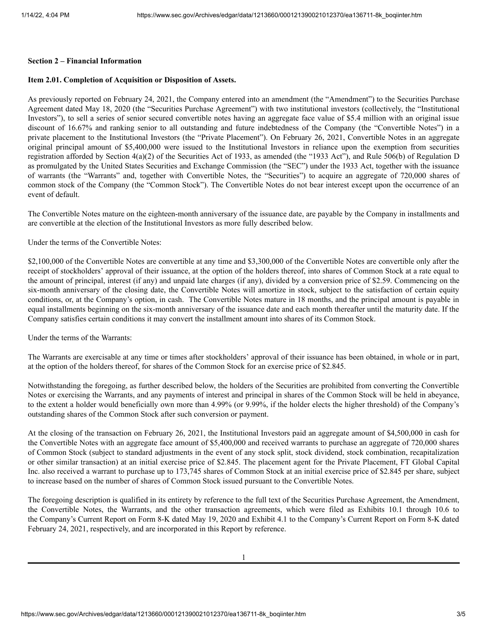#### **Section 2 – Financial Information**

# **Item 2.01. Completion of Acquisition or Disposition of Assets.**

As previously reported on February 24, 2021, the Company entered into an amendment (the "Amendment") to the Securities Purchase Agreement dated May 18, 2020 (the "Securities Purchase Agreement") with two institutional investors (collectively, the "Institutional Investors"), to sell a series of senior secured convertible notes having an aggregate face value of \$5.4 million with an original issue discount of 16.67% and ranking senior to all outstanding and future indebtedness of the Company (the "Convertible Notes") in a private placement to the Institutional Investors (the "Private Placement"). On February 26, 2021, Convertible Notes in an aggregate original principal amount of \$5,400,000 were issued to the Institutional Investors in reliance upon the exemption from securities registration afforded by Section 4(a)(2) of the Securities Act of 1933, as amended (the "1933 Act"), and Rule 506(b) of Regulation D as promulgated by the United States Securities and Exchange Commission (the "SEC") under the 1933 Act, together with the issuance of warrants (the "Warrants" and, together with Convertible Notes, the "Securities") to acquire an aggregate of 720,000 shares of common stock of the Company (the "Common Stock"). The Convertible Notes do not bear interest except upon the occurrence of an event of default.

The Convertible Notes mature on the eighteen-month anniversary of the issuance date, are payable by the Company in installments and are convertible at the election of the Institutional Investors as more fully described below.

Under the terms of the Convertible Notes:

\$2,100,000 of the Convertible Notes are convertible at any time and \$3,300,000 of the Convertible Notes are convertible only after the receipt of stockholders' approval of their issuance, at the option of the holders thereof, into shares of Common Stock at a rate equal to the amount of principal, interest (if any) and unpaid late charges (if any), divided by a conversion price of \$2.59. Commencing on the six-month anniversary of the closing date, the Convertible Notes will amortize in stock, subject to the satisfaction of certain equity conditions, or, at the Company's option, in cash. The Convertible Notes mature in 18 months, and the principal amount is payable in equal installments beginning on the six-month anniversary of the issuance date and each month thereafter until the maturity date. If the Company satisfies certain conditions it may convert the installment amount into shares of its Common Stock.

Under the terms of the Warrants:

The Warrants are exercisable at any time or times after stockholders' approval of their issuance has been obtained, in whole or in part, at the option of the holders thereof, for shares of the Common Stock for an exercise price of \$2.845.

Notwithstanding the foregoing, as further described below, the holders of the Securities are prohibited from converting the Convertible Notes or exercising the Warrants, and any payments of interest and principal in shares of the Common Stock will be held in abeyance, to the extent a holder would beneficially own more than 4.99% (or 9.99%, if the holder elects the higher threshold) of the Company's outstanding shares of the Common Stock after such conversion or payment.

At the closing of the transaction on February 26, 2021, the Institutional Investors paid an aggregate amount of \$4,500,000 in cash for the Convertible Notes with an aggregate face amount of \$5,400,000 and received warrants to purchase an aggregate of 720,000 shares of Common Stock (subject to standard adjustments in the event of any stock split, stock dividend, stock combination, recapitalization or other similar transaction) at an initial exercise price of \$2.845. The placement agent for the Private Placement, FT Global Capital Inc. also received a warrant to purchase up to 173,745 shares of Common Stock at an initial exercise price of \$2.845 per share, subject to increase based on the number of shares of Common Stock issued pursuant to the Convertible Notes.

The foregoing description is qualified in its entirety by reference to the full text of the Securities Purchase Agreement, the Amendment, the Convertible Notes, the Warrants, and the other transaction agreements, which were filed as Exhibits 10.1 through 10.6 to the Company's Current Report on Form 8-K dated May 19, 2020 and Exhibit 4.1 to the Company's Current Report on Form 8-K dated February 24, 2021, respectively, and are incorporated in this Report by reference.

1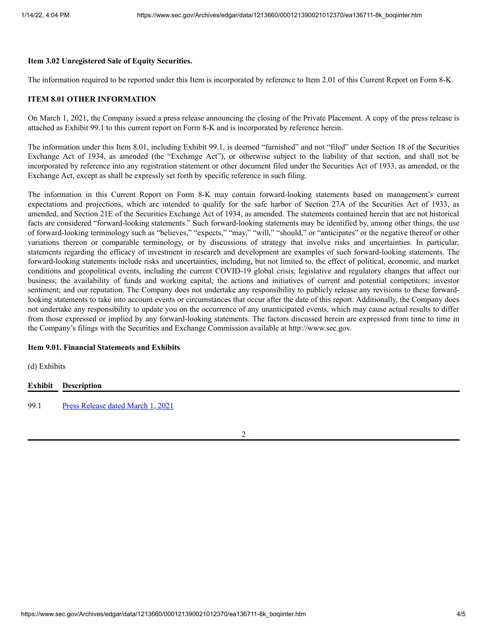### **Item 3.02 Unregistered Sale of Equity Securities.**

The information required to be reported under this Item is incorporated by reference to Item 2.01 of this Current Report on Form 8-K.

### **ITEM 8.01 OTHER INFORMATION**

On March 1, 2021, the Company issued a press release announcing the closing of the Private Placement. A copy of the press release is attached as Exhibit 99.1 to this current report on Form 8-K and is incorporated by reference herein.

The information under this Item 8.01, including Exhibit 99.1, is deemed "furnished" and not "filed" under Section 18 of the Securities Exchange Act of 1934, as amended (the "Exchange Act"), or otherwise subject to the liability of that section, and shall not be incorporated by reference into any registration statement or other document filed under the Securities Act of 1933, as amended, or the Exchange Act, except as shall be expressly set forth by specific reference in such filing.

The information in this Current Report on Form 8-K may contain forward-looking statements based on management's current expectations and projections, which are intended to qualify for the safe harbor of Section 27A of the Securities Act of 1933, as amended, and Section 21E of the Securities Exchange Act of 1934, as amended. The statements contained herein that are not historical facts are considered "forward-looking statements." Such forward-looking statements may be identified by, among other things, the use of forward-looking terminology such as "believes," "expects," "may," "will," "should," or "anticipates" or the negative thereof or other variations thereon or comparable terminology, or by discussions of strategy that involve risks and uncertainties. In particular, statements regarding the efficacy of investment in research and development are examples of such forward-looking statements. The forward-looking statements include risks and uncertainties, including, but not limited to, the effect of political, economic, and market conditions and geopolitical events, including the current COVID-19 global crisis; legislative and regulatory changes that affect our business; the availability of funds and working capital; the actions and initiatives of current and potential competitors; investor sentiment; and our reputation. The Company does not undertake any responsibility to publicly release any revisions to these forwardlooking statements to take into account events or circumstances that occur after the date of this report. Additionally, the Company does not undertake any responsibility to update you on the occurrence of any unanticipated events, which may cause actual results to differ from those expressed or implied by any forward-looking statements. The factors discussed herein are expressed from time to time in the Company's filings with the Securities and Exchange Commission available at http://www.sec.gov.

# **Item 9.01. Financial Statements and Exhibits**

(d) Exhibits

# **Exhibit Description**

99.1 Press [Release](https://www.sec.gov/Archives/edgar/data/1213660/000121390021012370/ea136711ex99-1_boqiinter.htm) dated March 1, 2021

2